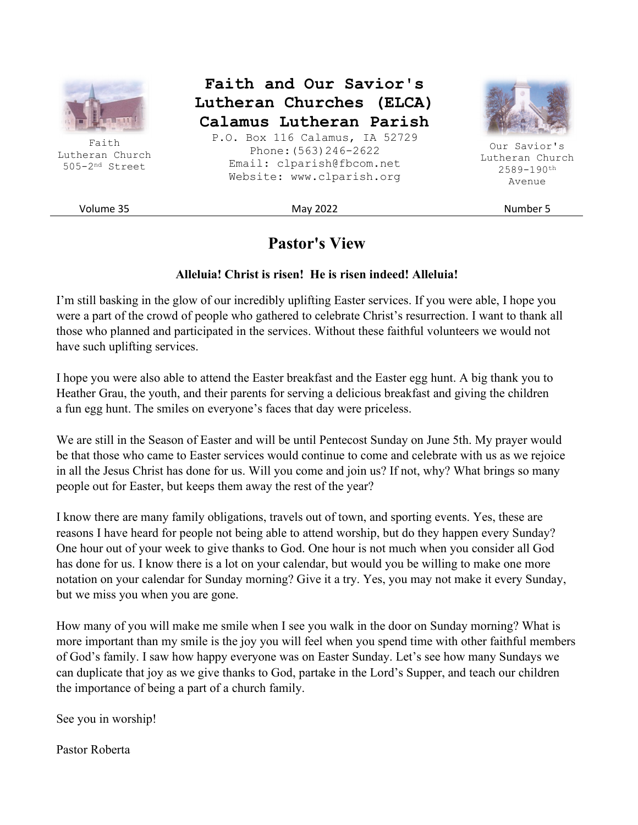

Faith Lutheran Church 505-2nd Street

**Faith and Our Savior's Lutheran Churches (ELCA) Calamus Lutheran Parish** 

P.O. Box 116 Calamus, IA 52729 Phone:(563)246-2622 Email: clparish@fbcom.net Website: www.clparish.org



Our Savior's Lutheran Church 2589-190th Avenue

Volume 35 November 5 Number 5

# **Pastor's View**

#### **Alleluia! Christ is risen! He is risen indeed! Alleluia!**

I'm still basking in the glow of our incredibly uplifting Easter services. If you were able, I hope you were a part of the crowd of people who gathered to celebrate Christ's resurrection. I want to thank all those who planned and participated in the services. Without these faithful volunteers we would not have such uplifting services.

I hope you were also able to attend the Easter breakfast and the Easter egg hunt. A big thank you to Heather Grau, the youth, and their parents for serving a delicious breakfast and giving the children a fun egg hunt. The smiles on everyone's faces that day were priceless.

We are still in the Season of Easter and will be until Pentecost Sunday on June 5th. My prayer would be that those who came to Easter services would continue to come and celebrate with us as we rejoice in all the Jesus Christ has done for us. Will you come and join us? If not, why? What brings so many people out for Easter, but keeps them away the rest of the year?

I know there are many family obligations, travels out of town, and sporting events. Yes, these are reasons I have heard for people not being able to attend worship, but do they happen every Sunday? One hour out of your week to give thanks to God. One hour is not much when you consider all God has done for us. I know there is a lot on your calendar, but would you be willing to make one more notation on your calendar for Sunday morning? Give it a try. Yes, you may not make it every Sunday, but we miss you when you are gone.

How many of you will make me smile when I see you walk in the door on Sunday morning? What is more important than my smile is the joy you will feel when you spend time with other faithful members of God's family. I saw how happy everyone was on Easter Sunday. Let's see how many Sundays we can duplicate that joy as we give thanks to God, partake in the Lord's Supper, and teach our children the importance of being a part of a church family.

See you in worship!

Pastor Roberta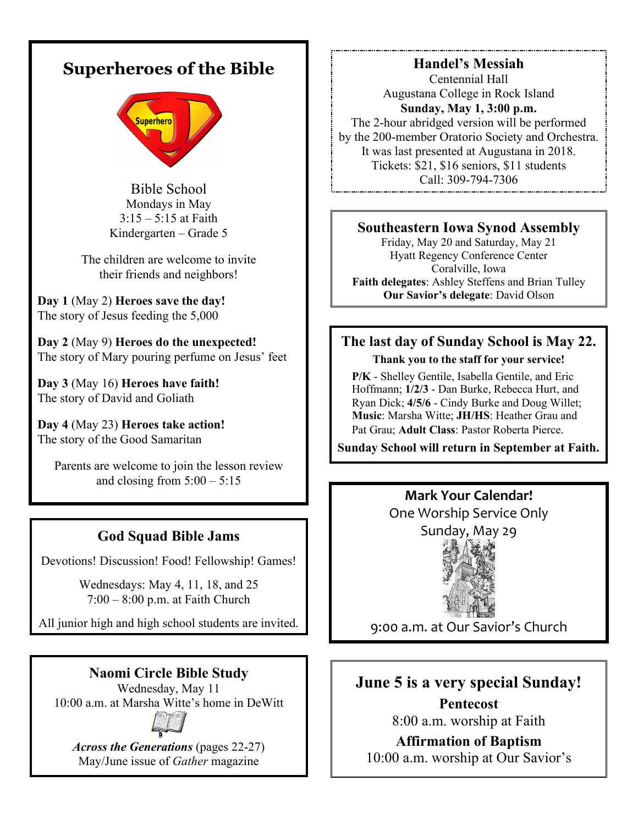# **Superheroes of the Bible**



Bible School Mondays in May  $3:15 - 5:15$  at Faith Kindergarten – Grade 5

The children are welcome to invite their friends and neighbors!

**Day 1** (May 2) **Heroes save the day!** The story of Jesus feeding the 5,000

**Day 2** (May 9) **Heroes do the unexpected!** The story of Mary pouring perfume on Jesus' feet

**Day 3** (May 16) **Heroes have faith!** The story of David and Goliath

**Day 4** (May 23) **Heroes take action!** The story of the Good Samaritan

Parents are welcome to join the lesson review and closing from  $5:00 - 5:15$ 

## **God Squad Bible Jams**

Devotions! Discussion! Food! Fellowship! Games!

Wednesdays: May 4, 11, 18, and 25 7:00 – 8:00 p.m. at Faith Church

All junior high and high school students are invited.

## **Naomi Circle Bible Study**

Wednesday, May 11 10:00 a.m. at Marsha Witte's home in DeWitt



*Across the Generations* (pages 22-27) May/June issue of *Gather* magazine

**Handel's Messiah**  Centennial Hall Augustana College in Rock Island **Sunday, May 1, 3:00 p.m.**  The 2-hour abridged version will be performed by the 200-member Oratorio Society and Orchestra. It was last presented at Augustana in 2018. Tickets: \$21, \$16 seniors, \$11 students Call: 309-794-7306

# **Southeastern Iowa Synod Assembly**

Friday, May 20 and Saturday, May 21 Hyatt Regency Conference Center Coralville, Iowa **Faith delegates**: Ashley Steffens and Brian Tulley **Our Savior's delegate**: David Olson

# **The last day of Sunday School is May 22.**

**Thank you to the staff for your service!**

 **P/K** - Shelley Gentile, Isabella Gentile, and Eric Hoffmann; **1/2/3** - Dan Burke, Rebecca Hurt, and Ryan Dick; **4/5/6** - Cindy Burke and Doug Willet; **Music**: Marsha Witte; **JH/HS**: Heather Grau and Pat Grau; **Adult Class**: Pastor Roberta Pierce.

**Sunday School will return in September at Faith.** 

**Mark Your Calendar!**  One Worship Service Only



9:00 a.m. at Our Savior's Church

# **June 5 is a very special Sunday!**

**Pentecost**  8:00 a.m. worship at Faith

**Affirmation of Baptism** 

10:00 a.m. worship at Our Savior's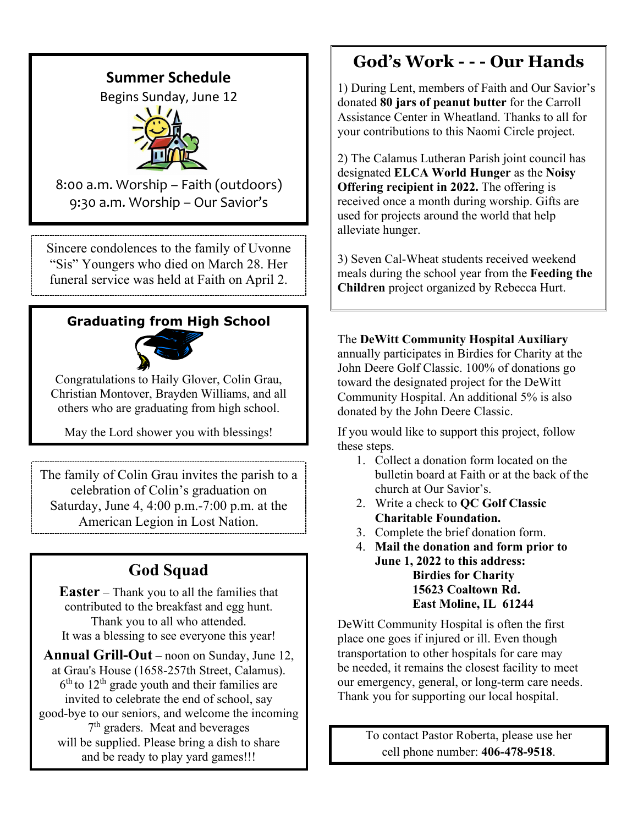# **Summer Schedule**

Begins Sunday, June 12



8:00 a.m. Worship – Faith (outdoors) 9:30 a.m. Worship – Our Savior's

Sincere condolences to the family of Uvonne "Sis" Youngers who died on March 28. Her funeral service was held at Faith on April 2.

# **Graduating from High School**



Congratulations to Haily Glover, Colin Grau, Christian Montover, Brayden Williams, and all others who are graduating from high school.

May the Lord shower you with blessings!

The family of Colin Grau invites the parish to a celebration of Colin's graduation on Saturday, June 4, 4:00 p.m.-7:00 p.m. at the American Legion in Lost Nation.

# **God Squad**

**Easter** – Thank you to all the families that contributed to the breakfast and egg hunt. Thank you to all who attended. It was a blessing to see everyone this year!

**Annual Grill-Out** – noon on Sunday, June 12, at Grau's House (1658-257th Street, Calamus).  $6<sup>th</sup>$  to  $12<sup>th</sup>$  grade youth and their families are invited to celebrate the end of school, say good-bye to our seniors, and welcome the incoming 7 th graders. Meat and beverages will be supplied. Please bring a dish to share and be ready to play yard games!!!

# **God's Work - - - Our Hands**

1) During Lent, members of Faith and Our Savior's donated **80 jars of peanut butter** for the Carroll Assistance Center in Wheatland. Thanks to all for your contributions to this Naomi Circle project.

2) The Calamus Lutheran Parish joint council has designated **ELCA World Hunger** as the **Noisy Offering recipient in 2022.** The offering is received once a month during worship. Gifts are used for projects around the world that help alleviate hunger.

3) Seven Cal-Wheat students received weekend meals during the school year from the **Feeding the Children** project organized by Rebecca Hurt.

The **DeWitt Community Hospital Auxiliary** annually participates in Birdies for Charity at the John Deere Golf Classic. 100% of donations go toward the designated project for the DeWitt Community Hospital. An additional 5% is also donated by the John Deere Classic.

If you would like to support this project, follow these steps.

- 1. Collect a donation form located on the bulletin board at Faith or at the back of the church at Our Savior's.
- 2. Write a check to **QC Golf Classic Charitable Foundation.**
- 3. Complete the brief donation form.
- 4. **Mail the donation and form prior to June 1, 2022 to this address: Birdies for Charity 15623 Coaltown Rd. East Moline, IL 61244**

DeWitt Community Hospital is often the first place one goes if injured or ill. Even though transportation to other hospitals for care may be needed, it remains the closest facility to meet our emergency, general, or long-term care needs. Thank you for supporting our local hospital.

> To contact Pastor Roberta, please use her cell phone number: **406-478-9518**.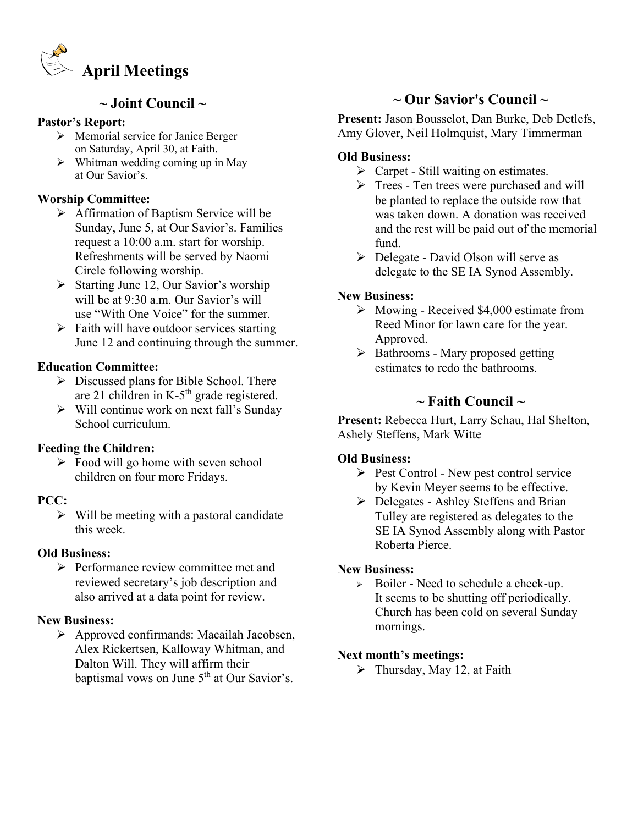

### **~ Joint Council ~**

#### **Pastor's Report:**

- $\triangleright$  Memorial service for Janice Berger on Saturday, April 30, at Faith.
- $\triangleright$  Whitman wedding coming up in May at Our Savior's.

#### **Worship Committee:**

- Affirmation of Baptism Service will be Sunday, June 5, at Our Savior's. Families request a 10:00 a.m. start for worship. Refreshments will be served by Naomi Circle following worship.
- $\triangleright$  Starting June 12, Our Savior's worship will be at 9:30 a.m. Our Savior's will use "With One Voice" for the summer.
- $\triangleright$  Faith will have outdoor services starting June 12 and continuing through the summer.

#### **Education Committee:**

- $\triangleright$  Discussed plans for Bible School. There are 21 children in K-5<sup>th</sup> grade registered.
- $\triangleright$  Will continue work on next fall's Sunday School curriculum.

#### **Feeding the Children:**

 $\triangleright$  Food will go home with seven school children on four more Fridays.

#### **PCC:**

 $\triangleright$  Will be meeting with a pastoral candidate this week.

#### **Old Business:**

 $\triangleright$  Performance review committee met and reviewed secretary's job description and also arrived at a data point for review.

#### **New Business:**

 Approved confirmands: Macailah Jacobsen, Alex Rickertsen, Kalloway Whitman, and Dalton Will. They will affirm their baptismal vows on June 5<sup>th</sup> at Our Savior's.

## **~ Our Savior's Council ~**

**Present:** Jason Bousselot, Dan Burke, Deb Detlefs, Amy Glover, Neil Holmquist, Mary Timmerman

#### **Old Business:**

- $\triangleright$  Carpet Still waiting on estimates.
- $\triangleright$  Trees Ten trees were purchased and will be planted to replace the outside row that was taken down. A donation was received and the rest will be paid out of the memorial fund.
- $\triangleright$  Delegate David Olson will serve as delegate to the SE IA Synod Assembly.

#### **New Business:**

- $\triangleright$  Mowing Received \$4,000 estimate from Reed Minor for lawn care for the year. Approved.
- $\triangleright$  Bathrooms Mary proposed getting estimates to redo the bathrooms.

## **~ Faith Council ~**

**Present:** Rebecca Hurt, Larry Schau, Hal Shelton, Ashely Steffens, Mark Witte

#### **Old Business:**

- $\triangleright$  Pest Control New pest control service by Kevin Meyer seems to be effective.
- $\triangleright$  Delegates Ashley Steffens and Brian Tulley are registered as delegates to the SE IA Synod Assembly along with Pastor Roberta Pierce.

#### **New Business:**

 $\triangleright$  Boiler - Need to schedule a check-up. It seems to be shutting off periodically. Church has been cold on several Sunday mornings.

#### **Next month's meetings:**

 $\triangleright$  Thursday, May 12, at Faith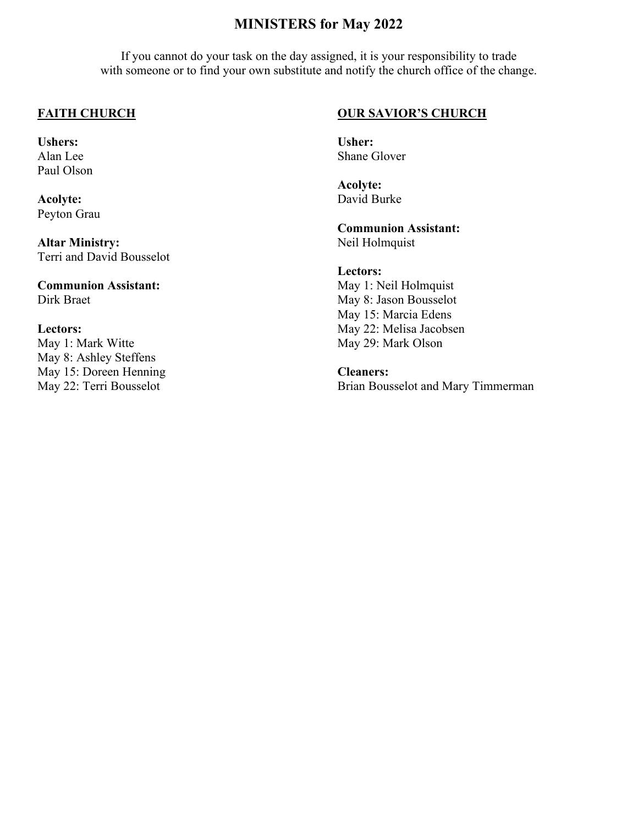#### **MINISTERS for May 2022**

If you cannot do your task on the day assigned, it is your responsibility to trade with someone or to find your own substitute and notify the church office of the change.

#### **FAITH CHURCH**

**Ushers:**  Alan Lee Paul Olson

**Acolyte:**  Peyton Grau

**Altar Ministry:**  Terri and David Bousselot

**Communion Assistant:**  Dirk Braet

#### **Lectors:**

May 1: Mark Witte May 8: Ashley Steffens May 15: Doreen Henning May 22: Terri Bousselot

#### **OUR SAVIOR'S CHURCH**

**Usher:**  Shane Glover

**Acolyte:**  David Burke

**Communion Assistant:**  Neil Holmquist

#### **Lectors:**

May 1: Neil Holmquist May 8: Jason Bousselot May 15: Marcia Edens May 22: Melisa Jacobsen May 29: Mark Olson

#### **Cleaners:**

Brian Bousselot and Mary Timmerman